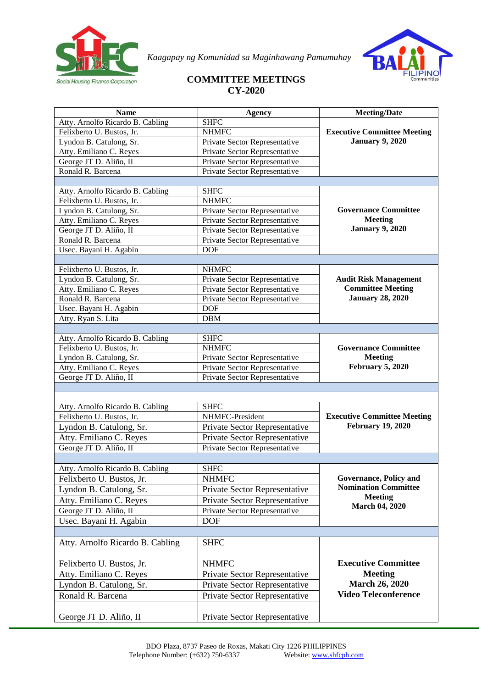

*Kaagapay ng Komunidad sa Maginhawang Pamumuhay*



## **COMMITTEE MEETINGS CY-2020**

| <b>Name</b>                      | <b>Agency</b>                 | <b>Meeting/Date</b>                                      |
|----------------------------------|-------------------------------|----------------------------------------------------------|
| Atty. Arnolfo Ricardo B. Cabling | <b>SHFC</b>                   |                                                          |
| Felixberto U. Bustos, Jr.        | <b>NHMFC</b>                  | <b>Executive Committee Meeting</b>                       |
| Lyndon B. Catulong, Sr.          | Private Sector Representative | <b>January 9, 2020</b>                                   |
| Atty. Emiliano C. Reyes          | Private Sector Representative |                                                          |
| George JT D. Aliño, II           | Private Sector Representative |                                                          |
| Ronald R. Barcena                | Private Sector Representative |                                                          |
|                                  |                               |                                                          |
| Atty. Arnolfo Ricardo B. Cabling | <b>SHFC</b>                   |                                                          |
| Felixberto U. Bustos, Jr.        | <b>NHMFC</b>                  |                                                          |
| Lyndon B. Catulong, Sr.          | Private Sector Representative | <b>Governance Committee</b>                              |
| Atty. Emiliano C. Reyes          | Private Sector Representative | <b>Meeting</b>                                           |
| George JT D. Aliño, II           | Private Sector Representative | <b>January 9, 2020</b>                                   |
| Ronald R. Barcena                | Private Sector Representative |                                                          |
| Usec. Bayani H. Agabin           | <b>DOF</b>                    |                                                          |
|                                  |                               |                                                          |
| Felixberto U. Bustos, Jr.        | <b>NHMFC</b>                  |                                                          |
| Lyndon B. Catulong, Sr.          | Private Sector Representative | <b>Audit Risk Management</b><br><b>Committee Meeting</b> |
| Atty. Emiliano C. Reyes          | Private Sector Representative | <b>January 28, 2020</b>                                  |
| Ronald R. Barcena                | Private Sector Representative |                                                          |
| Usec. Bayani H. Agabin           | <b>DOF</b>                    |                                                          |
| Atty. Ryan S. Lita               | <b>DBM</b>                    |                                                          |
| Atty. Arnolfo Ricardo B. Cabling | <b>SHFC</b>                   |                                                          |
| Felixberto U. Bustos, Jr.        | <b>NHMFC</b>                  | <b>Governance Committee</b>                              |
| Lyndon B. Catulong, Sr.          | Private Sector Representative | <b>Meeting</b>                                           |
| Atty. Emiliano C. Reyes          | Private Sector Representative | February 5, 2020                                         |
| George JT D. Aliño, II           | Private Sector Representative |                                                          |
|                                  |                               |                                                          |
|                                  |                               |                                                          |
| Atty. Arnolfo Ricardo B. Cabling | <b>SHFC</b>                   |                                                          |
| Felixberto U. Bustos, Jr.        | NHMFC-President               | <b>Executive Committee Meeting</b>                       |
| Lyndon B. Catulong, Sr.          | Private Sector Representative | <b>February 19, 2020</b>                                 |
| Atty. Emiliano C. Reyes          | Private Sector Representative |                                                          |
| George JT D. Aliño, II           | Private Sector Representative |                                                          |
|                                  |                               |                                                          |
| Atty. Arnolfo Ricardo B. Cabling | <b>SHFC</b>                   |                                                          |
| Felixberto U. Bustos, Jr.        | <b>NHMFC</b>                  | <b>Governance, Policy and</b>                            |
| Lyndon B. Catulong, Sr.          | Private Sector Representative | <b>Nomination Committee</b>                              |
| Atty. Emiliano C. Reyes          | Private Sector Representative | <b>Meeting</b>                                           |
| George JT D. Aliño, II           | Private Sector Representative | <b>March 04, 2020</b>                                    |
| Usec. Bayani H. Agabin           | <b>DOF</b>                    |                                                          |
|                                  |                               |                                                          |
| Atty. Arnolfo Ricardo B. Cabling | <b>SHFC</b>                   |                                                          |
|                                  |                               |                                                          |
|                                  |                               |                                                          |
| Felixberto U. Bustos, Jr.        | <b>NHMFC</b>                  | <b>Executive Committee</b>                               |
| Atty. Emiliano C. Reyes          | Private Sector Representative | <b>Meeting</b>                                           |
| Lyndon B. Catulong, Sr.          | Private Sector Representative | <b>March 26, 2020</b>                                    |
| Ronald R. Barcena                | Private Sector Representative | <b>Video Teleconference</b>                              |
|                                  |                               |                                                          |
| George JT D. Aliño, II           | Private Sector Representative |                                                          |
|                                  |                               |                                                          |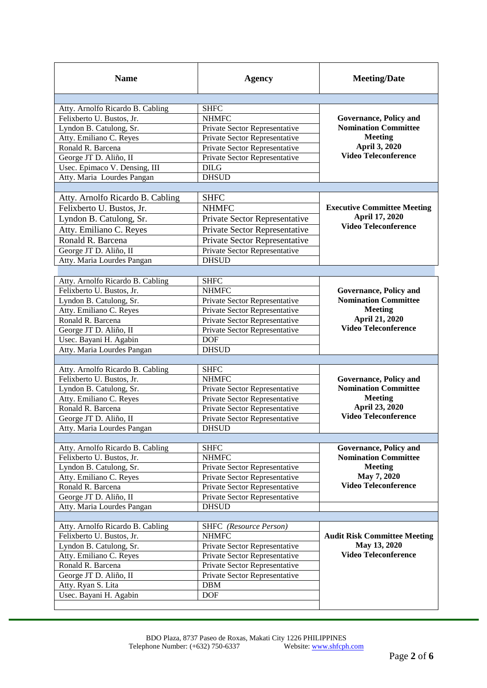| <b>Name</b>                                                   | <b>Agency</b>                 | <b>Meeting/Date</b>                 |
|---------------------------------------------------------------|-------------------------------|-------------------------------------|
| Atty. Arnolfo Ricardo B. Cabling                              | <b>SHFC</b>                   |                                     |
| Felixberto U. Bustos, Jr.                                     | <b>NHMFC</b>                  | Governance, Policy and              |
| Lyndon B. Catulong, Sr.                                       | Private Sector Representative | <b>Nomination Committee</b>         |
| Atty. Emiliano C. Reyes                                       | Private Sector Representative | <b>Meeting</b><br>April 3, 2020     |
| Ronald R. Barcena                                             | Private Sector Representative |                                     |
| George JT D. Aliño, II                                        | Private Sector Representative | <b>Video Teleconference</b>         |
| Usec. Epimaco V. Densing, III                                 | <b>DILG</b>                   |                                     |
| Atty. Maria Lourdes Pangan                                    | <b>DHSUD</b>                  |                                     |
|                                                               |                               |                                     |
| Atty. Arnolfo Ricardo B. Cabling                              | <b>SHFC</b>                   |                                     |
| Felixberto U. Bustos, Jr.                                     | <b>NHMFC</b>                  | <b>Executive Committee Meeting</b>  |
| Lyndon B. Catulong, Sr.                                       | Private Sector Representative | April 17, 2020                      |
| Atty. Emiliano C. Reyes                                       | Private Sector Representative | <b>Video Teleconference</b>         |
| Ronald R. Barcena                                             | Private Sector Representative |                                     |
| George JT D. Aliño, II                                        | Private Sector Representative |                                     |
| Atty. Maria Lourdes Pangan                                    | <b>DHSUD</b>                  |                                     |
|                                                               |                               |                                     |
| Atty. Arnolfo Ricardo B. Cabling                              | <b>SHFC</b>                   |                                     |
| Felixberto U. Bustos, Jr.                                     | <b>NHMFC</b>                  | Governance, Policy and              |
| Lyndon B. Catulong, Sr.                                       | Private Sector Representative | <b>Nomination Committee</b>         |
| Atty. Emiliano C. Reyes                                       | Private Sector Representative | <b>Meeting</b>                      |
| Ronald R. Barcena                                             | Private Sector Representative | April 21, 2020                      |
| George JT D. Aliño, II                                        | Private Sector Representative | <b>Video Teleconference</b>         |
| Usec. Bayani H. Agabin                                        | <b>DOF</b>                    |                                     |
| Atty. Maria Lourdes Pangan                                    | <b>DHSUD</b>                  |                                     |
|                                                               |                               |                                     |
|                                                               |                               |                                     |
| Atty. Arnolfo Ricardo B. Cabling                              | <b>SHFC</b>                   |                                     |
| Felixberto U. Bustos, Jr.                                     | <b>NHMFC</b>                  | Governance, Policy and              |
| Lyndon B. Catulong, Sr.                                       | Private Sector Representative | <b>Nomination Committee</b>         |
| Atty. Emiliano C. Reyes                                       | Private Sector Representative | <b>Meeting</b>                      |
| Ronald R. Barcena                                             | Private Sector Representative | April 23, 2020                      |
| George JT D. Aliño, II                                        | Private Sector Representative | Video Teleconference                |
| Atty. Maria Lourdes Pangan                                    | <b>DHSUD</b>                  |                                     |
|                                                               |                               |                                     |
| Atty. Arnolfo Ricardo B. Cabling                              | <b>SHFC</b>                   | Governance, Policy and              |
| Felixberto U. Bustos, Jr.                                     | <b>NHMFC</b>                  | <b>Nomination Committee</b>         |
| Lyndon B. Catulong, Sr.                                       | Private Sector Representative | <b>Meeting</b>                      |
| Atty. Emiliano C. Reyes                                       | Private Sector Representative | May 7, 2020                         |
| Ronald R. Barcena                                             | Private Sector Representative | <b>Video Teleconference</b>         |
| George JT D. Aliño, II                                        | Private Sector Representative |                                     |
| Atty. Maria Lourdes Pangan                                    | <b>DHSUD</b>                  |                                     |
|                                                               | SHFC (Resource Person)        |                                     |
| Atty. Arnolfo Ricardo B. Cabling<br>Felixberto U. Bustos, Jr. | <b>NHMFC</b>                  | <b>Audit Risk Committee Meeting</b> |
| Lyndon B. Catulong, Sr.                                       | Private Sector Representative | May 13, 2020                        |
| Atty. Emiliano C. Reyes                                       | Private Sector Representative | <b>Video Teleconference</b>         |
| Ronald R. Barcena                                             | Private Sector Representative |                                     |
| George JT D. Aliño, II                                        | Private Sector Representative |                                     |
| Atty. Ryan S. Lita                                            | <b>DBM</b>                    |                                     |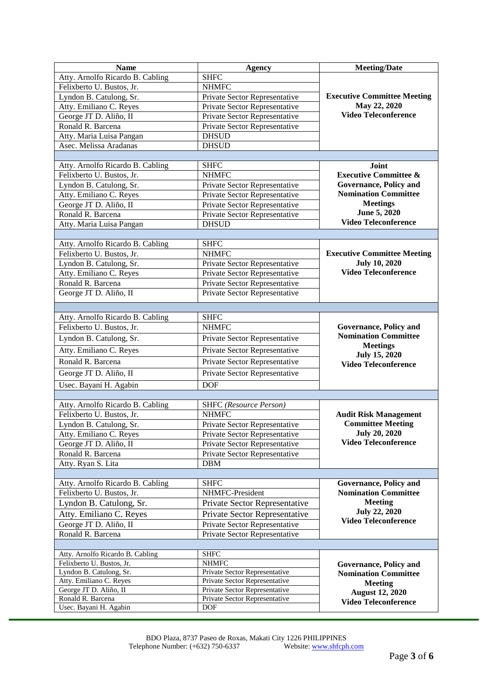| <b>Name</b>                                  | Agency                                                         | <b>Meeting/Date</b>                                                                                    |
|----------------------------------------------|----------------------------------------------------------------|--------------------------------------------------------------------------------------------------------|
| Atty. Arnolfo Ricardo B. Cabling             | <b>SHFC</b>                                                    |                                                                                                        |
| Felixberto U. Bustos, Jr.                    | <b>NHMFC</b>                                                   | <b>Executive Committee Meeting</b><br>May 22, 2020<br><b>Video Teleconference</b>                      |
| Lyndon B. Catulong, Sr.                      | Private Sector Representative                                  |                                                                                                        |
| Atty. Emiliano C. Reyes                      | Private Sector Representative                                  |                                                                                                        |
| George JT D. Aliño, II                       | Private Sector Representative                                  |                                                                                                        |
| Ronald R. Barcena                            | Private Sector Representative                                  |                                                                                                        |
| Atty. Maria Luisa Pangan                     | <b>DHSUD</b>                                                   |                                                                                                        |
| Asec. Melissa Aradanas                       | <b>DHSUD</b>                                                   |                                                                                                        |
|                                              |                                                                |                                                                                                        |
| Atty. Arnolfo Ricardo B. Cabling             | <b>SHFC</b>                                                    | Joint                                                                                                  |
| Felixberto U. Bustos, Jr.                    | <b>NHMFC</b>                                                   | <b>Executive Committee &amp;</b>                                                                       |
| Lyndon B. Catulong, Sr.                      | Private Sector Representative                                  | <b>Governance, Policy and</b>                                                                          |
| Atty. Emiliano C. Reyes                      | Private Sector Representative                                  | <b>Nomination Committee</b>                                                                            |
| George JT D. Aliño, II                       | Private Sector Representative                                  | <b>Meetings</b>                                                                                        |
| Ronald R. Barcena                            | Private Sector Representative                                  | June 5, 2020<br><b>Video Teleconference</b>                                                            |
| Atty. Maria Luisa Pangan                     | <b>DHSUD</b>                                                   |                                                                                                        |
|                                              |                                                                |                                                                                                        |
| Atty. Arnolfo Ricardo B. Cabling             | <b>SHFC</b>                                                    |                                                                                                        |
| Felixberto U. Bustos, Jr.                    | <b>NHMFC</b>                                                   | <b>Executive Committee Meeting</b>                                                                     |
| Lyndon B. Catulong, Sr.                      | Private Sector Representative                                  | <b>July 10, 2020</b><br><b>Video Teleconference</b>                                                    |
| Atty. Emiliano C. Reyes<br>Ronald R. Barcena | Private Sector Representative                                  |                                                                                                        |
|                                              | Private Sector Representative<br>Private Sector Representative |                                                                                                        |
| George JT D. Aliño, II                       |                                                                |                                                                                                        |
|                                              |                                                                |                                                                                                        |
| Atty. Arnolfo Ricardo B. Cabling             | <b>SHFC</b>                                                    |                                                                                                        |
| Felixberto U. Bustos, Jr.                    | <b>NHMFC</b>                                                   | <b>Governance, Policy and</b>                                                                          |
| Lyndon B. Catulong, Sr.                      | Private Sector Representative                                  | <b>Nomination Committee</b><br><b>Meetings</b><br><b>July 15, 2020</b><br><b>Video Teleconference</b>  |
| Atty. Emiliano C. Reyes                      | Private Sector Representative                                  |                                                                                                        |
| Ronald R. Barcena                            | Private Sector Representative                                  |                                                                                                        |
| George JT D. Aliño, II                       | Private Sector Representative                                  |                                                                                                        |
|                                              | <b>DOF</b>                                                     |                                                                                                        |
| Usec. Bayani H. Agabin                       |                                                                |                                                                                                        |
| Atty. Arnolfo Ricardo B. Cabling             | <b>SHFC</b> (Resource Person)                                  |                                                                                                        |
| Felixberto U. Bustos, Jr.                    | <b>NHMFC</b>                                                   | <b>Audit Risk Management</b>                                                                           |
| Lyndon B. Catulong, Sr.                      | Private Sector Representative                                  | <b>Committee Meeting</b>                                                                               |
| Atty. Emiliano C. Reyes                      | Private Sector Representative                                  | <b>July 20, 2020</b>                                                                                   |
| George JT D. Aliño, II                       | Private Sector Representative                                  | <b>Video Teleconference</b>                                                                            |
| Ronald R. Barcena                            | Private Sector Representative                                  |                                                                                                        |
| Atty. Ryan S. Lita                           | <b>DBM</b>                                                     |                                                                                                        |
|                                              |                                                                |                                                                                                        |
| Atty. Arnolfo Ricardo B. Cabling             | <b>SHFC</b>                                                    | Governance, Policy and                                                                                 |
| Felixberto U. Bustos, Jr.                    | NHMFC-President                                                | <b>Nomination Committee</b>                                                                            |
| Lyndon B. Catulong, Sr.                      | Private Sector Representative                                  | <b>Meeting</b>                                                                                         |
| Atty. Emiliano C. Reyes                      | Private Sector Representative                                  | <b>July 22, 2020</b>                                                                                   |
| George JT D. Aliño, II                       | Private Sector Representative                                  | <b>Video Teleconference</b>                                                                            |
| Ronald R. Barcena                            | Private Sector Representative                                  |                                                                                                        |
|                                              |                                                                |                                                                                                        |
| Atty. Arnolfo Ricardo B. Cabling             | <b>SHFC</b>                                                    |                                                                                                        |
| Felixberto U. Bustos, Jr.                    | <b>NHMFC</b>                                                   | <b>Governance, Policy and</b>                                                                          |
| Lyndon B. Catulong, Sr.                      | Private Sector Representative                                  | <b>Nomination Committee</b><br><b>Meeting</b><br><b>August 12, 2020</b><br><b>Video Teleconference</b> |
| Atty. Emiliano C. Reyes                      | Private Sector Representative                                  |                                                                                                        |
| George JT D. Aliño, II                       | Private Sector Representative                                  |                                                                                                        |
| Ronald R. Barcena                            | Private Sector Representative                                  |                                                                                                        |
| Usec. Bayani H. Agabin                       | DOF                                                            |                                                                                                        |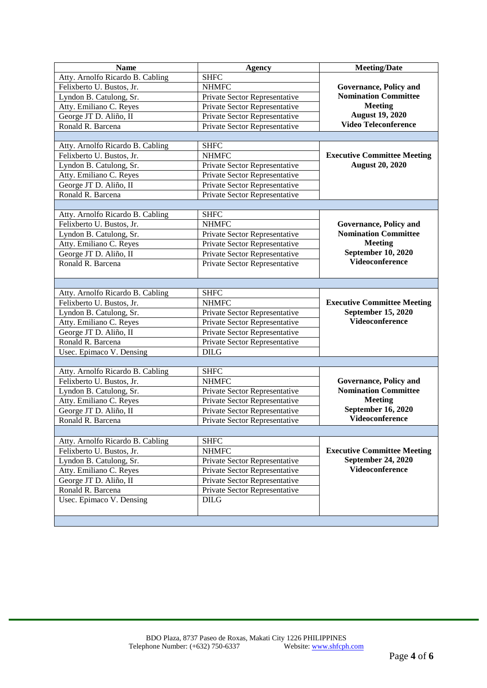| <b>Name</b>                      | <b>Agency</b>                 | <b>Meeting/Date</b>                |
|----------------------------------|-------------------------------|------------------------------------|
| Atty. Arnolfo Ricardo B. Cabling | <b>SHFC</b>                   |                                    |
| Felixberto U. Bustos, Jr.        | <b>NHMFC</b>                  | Governance, Policy and             |
| Lyndon B. Catulong, Sr.          | Private Sector Representative | <b>Nomination Committee</b>        |
| Atty. Emiliano C. Reyes          | Private Sector Representative | <b>Meeting</b>                     |
| George JT D. Aliño, II           | Private Sector Representative | <b>August 19, 2020</b>             |
| Ronald R. Barcena                | Private Sector Representative | <b>Video Teleconference</b>        |
|                                  |                               |                                    |
| Atty. Arnolfo Ricardo B. Cabling | <b>SHFC</b>                   |                                    |
| Felixberto U. Bustos, Jr.        | <b>NHMFC</b>                  | <b>Executive Committee Meeting</b> |
| Lyndon B. Catulong, Sr.          | Private Sector Representative | <b>August 20, 2020</b>             |
| Atty. Emiliano C. Reyes          | Private Sector Representative |                                    |
| George JT D. Aliño, II           | Private Sector Representative |                                    |
| Ronald R. Barcena                | Private Sector Representative |                                    |
|                                  |                               |                                    |
| Atty. Arnolfo Ricardo B. Cabling | <b>SHFC</b>                   |                                    |
| Felixberto U. Bustos, Jr.        | <b>NHMFC</b>                  | Governance, Policy and             |
| Lyndon B. Catulong, Sr.          | Private Sector Representative | <b>Nomination Committee</b>        |
| Atty. Emiliano C. Reyes          | Private Sector Representative | <b>Meeting</b>                     |
| George JT D. Aliño, II           | Private Sector Representative | <b>September 10, 2020</b>          |
| Ronald R. Barcena                | Private Sector Representative | Videoconference                    |
|                                  |                               |                                    |
|                                  |                               |                                    |
| Atty. Arnolfo Ricardo B. Cabling | <b>SHFC</b>                   |                                    |
| Felixberto U. Bustos, Jr.        | <b>NHMFC</b>                  | <b>Executive Committee Meeting</b> |
| Lyndon B. Catulong, Sr.          | Private Sector Representative | September 15, 2020                 |
| Atty. Emiliano C. Reyes          | Private Sector Representative | Videoconference                    |
| George JT D. Aliño, II           | Private Sector Representative |                                    |
| Ronald R. Barcena                | Private Sector Representative |                                    |
| Usec. Epimaco V. Densing         | <b>DILG</b>                   |                                    |
|                                  |                               |                                    |
| Atty. Arnolfo Ricardo B. Cabling | <b>SHFC</b>                   |                                    |
| Felixberto U. Bustos, Jr.        | <b>NHMFC</b>                  | Governance, Policy and             |
| Lyndon B. Catulong, Sr.          | Private Sector Representative | <b>Nomination Committee</b>        |
| Atty. Emiliano C. Reyes          | Private Sector Representative | <b>Meeting</b>                     |
| George JT D. Aliño, II           | Private Sector Representative | September 16, 2020                 |
| Ronald R. Barcena                | Private Sector Representative | Videoconference                    |
|                                  |                               |                                    |
| Atty. Arnolfo Ricardo B. Cabling | <b>SHFC</b>                   |                                    |
| Felixberto U. Bustos, Jr.        | <b>NHMFC</b>                  | <b>Executive Committee Meeting</b> |
| Lyndon B. Catulong, Sr.          | Private Sector Representative | September 24, 2020                 |
| Atty. Emiliano C. Reyes          | Private Sector Representative | <b>Videoconference</b>             |
| George JT D. Aliño, II           | Private Sector Representative |                                    |
| Ronald R. Barcena                | Private Sector Representative |                                    |
| Usec. Epimaco V. Densing         | <b>DILG</b>                   |                                    |
|                                  |                               |                                    |
|                                  |                               |                                    |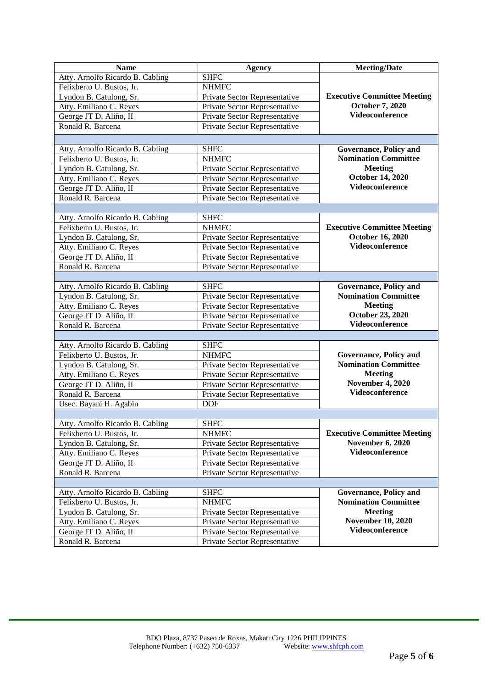| <b>Name</b>                                                   | Agency                        | <b>Meeting/Date</b>                                           |
|---------------------------------------------------------------|-------------------------------|---------------------------------------------------------------|
| Atty. Arnolfo Ricardo B. Cabling                              | <b>SHFC</b>                   | <b>Executive Committee Meeting</b><br><b>October 7, 2020</b>  |
| Felixberto U. Bustos, Jr.                                     | <b>NHMFC</b>                  |                                                               |
| Lyndon B. Catulong, Sr.                                       | Private Sector Representative |                                                               |
| Atty. Emiliano C. Reyes                                       | Private Sector Representative |                                                               |
| George JT D. Aliño, II                                        | Private Sector Representative | <b>Videoconference</b>                                        |
| Ronald R. Barcena                                             | Private Sector Representative |                                                               |
|                                                               |                               |                                                               |
| Atty. Arnolfo Ricardo B. Cabling                              | <b>SHFC</b>                   | <b>Governance, Policy and</b>                                 |
| Felixberto U. Bustos, Jr.                                     | <b>NHMFC</b>                  | <b>Nomination Committee</b>                                   |
| Lyndon B. Catulong, Sr.                                       | Private Sector Representative | <b>Meeting</b>                                                |
| Atty. Emiliano C. Reyes                                       | Private Sector Representative | <b>October 14, 2020</b>                                       |
| George JT D. Aliño, II                                        | Private Sector Representative | Videoconference                                               |
| Ronald R. Barcena                                             | Private Sector Representative |                                                               |
|                                                               |                               |                                                               |
| Atty. Arnolfo Ricardo B. Cabling                              | <b>SHFC</b>                   |                                                               |
| Felixberto U. Bustos, Jr.                                     | <b>NHMFC</b>                  | <b>Executive Committee Meeting</b>                            |
| Lyndon B. Catulong, Sr.                                       | Private Sector Representative | <b>October 16, 2020</b>                                       |
| Atty. Emiliano C. Reyes                                       | Private Sector Representative | <b>Videoconference</b>                                        |
| George JT D. Aliño, II                                        | Private Sector Representative |                                                               |
| Ronald R. Barcena                                             | Private Sector Representative |                                                               |
|                                                               |                               |                                                               |
| Atty. Arnolfo Ricardo B. Cabling                              | <b>SHFC</b>                   | <b>Governance, Policy and</b>                                 |
| Lyndon B. Catulong, Sr.                                       | Private Sector Representative | <b>Nomination Committee</b>                                   |
| Atty. Emiliano C. Reyes                                       | Private Sector Representative | <b>Meeting</b>                                                |
| George JT D. Aliño, II                                        | Private Sector Representative | October 23, 2020                                              |
| Ronald R. Barcena                                             | Private Sector Representative | Videoconference                                               |
|                                                               |                               |                                                               |
| Atty. Arnolfo Ricardo B. Cabling                              | <b>SHFC</b>                   |                                                               |
| Felixberto U. Bustos, Jr.                                     | <b>NHMFC</b>                  | <b>Governance, Policy and</b>                                 |
| Lyndon B. Catulong, Sr.                                       | Private Sector Representative | <b>Nomination Committee</b>                                   |
| Atty. Emiliano C. Reyes                                       | Private Sector Representative | <b>Meeting</b>                                                |
| George JT D. Aliño, II                                        | Private Sector Representative | <b>November 4, 2020</b>                                       |
| Ronald R. Barcena                                             | Private Sector Representative | Videoconference                                               |
| Usec. Bayani H. Agabin                                        | <b>DOF</b>                    |                                                               |
|                                                               |                               |                                                               |
| Atty. Arnolfo Ricardo B. Cabling                              | <b>SHFC</b>                   |                                                               |
| Felixberto U. Bustos, Jr.                                     | <b>NHMFC</b>                  | <b>Executive Committee Meeting</b>                            |
| Lyndon B. Catulong, Sr.                                       | Private Sector Representative | <b>November 6, 2020</b>                                       |
| Atty. Emiliano C. Reyes                                       | Private Sector Representative | Videoconference                                               |
| George JT D. Aliño, II                                        | Private Sector Representative |                                                               |
| Ronald R. Barcena                                             | Private Sector Representative |                                                               |
|                                                               |                               |                                                               |
| Atty. Arnolfo Ricardo B. Cabling<br>Felixberto U. Bustos, Jr. | <b>SHFC</b><br><b>NHMFC</b>   | Governance, Policy and<br><b>Nomination Committee</b>         |
| Lyndon B. Catulong, Sr.                                       | Private Sector Representative | <b>Meeting</b><br><b>November 10, 2020</b><br>Videoconference |
| Atty. Emiliano C. Reyes                                       | Private Sector Representative |                                                               |
|                                                               |                               |                                                               |
| George JT D. Aliño, II                                        | Private Sector Representative |                                                               |
| Ronald R. Barcena                                             | Private Sector Representative |                                                               |